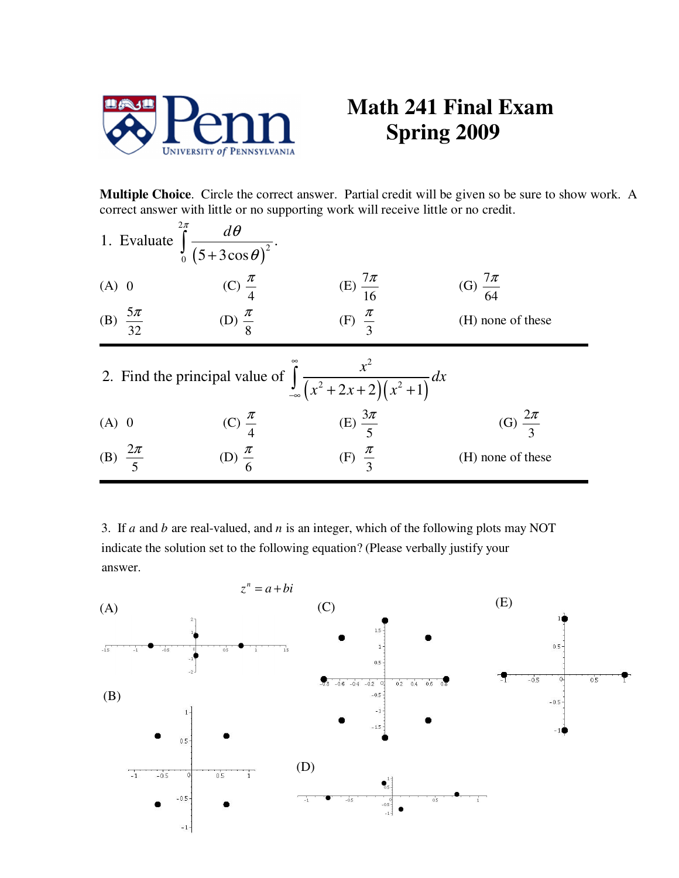

## **Math 241 Final Exam Spring 2009**

**Multiple Choice**. Circle the correct answer. Partial credit will be given so be sure to show work. A correct answer with little or no supporting work will receive little or no credit.

| 1. Evaluate $\int_{0}^{2\pi} \frac{d\theta}{(5+3\cos\theta)^2}$ . |                                            |                                                                                                 |                       |
|-------------------------------------------------------------------|--------------------------------------------|-------------------------------------------------------------------------------------------------|-----------------------|
| $(A)$ 0                                                           | (C) $\frac{\pi}{4}$                        | (E) $\frac{7\pi}{16}$                                                                           | (G) $\frac{7\pi}{64}$ |
| (B) $\frac{5\pi}{32}$                                             | (D) $\frac{\pi}{8}$                        | (F) $\frac{\pi}{3}$                                                                             | (H) none of these     |
|                                                                   |                                            | 2. Find the principal value of $\int_{-\infty}^{\infty} \frac{x^2}{(x^2 + 2x + 2)(x^2 + 1)} dx$ |                       |
|                                                                   |                                            | (E) $\frac{3\pi}{5}$                                                                            | (G) $\frac{2\pi}{3}$  |
| (A) 0<br>(B) $\frac{2\pi}{5}$                                     | (C) $\frac{\pi}{4}$<br>(D) $\frac{\pi}{6}$ | (F) $\frac{\pi}{3}$                                                                             | (H) none of these     |

3. If  $a$  and  $b$  are real-valued, and  $n$  is an integer, which of the following plots may NOT indicate the solution set to the following equation? (Please verbally justify your answer.

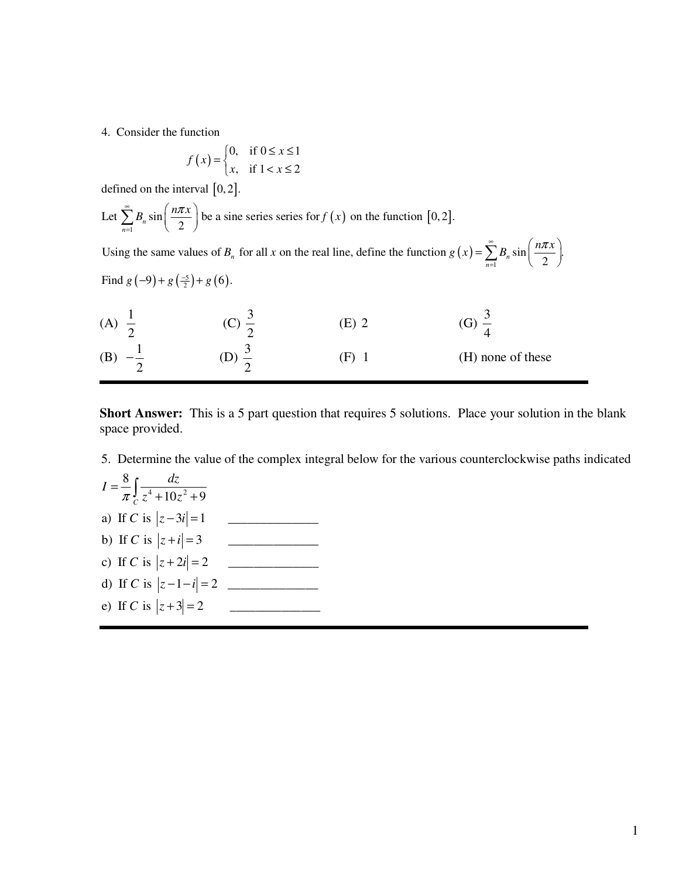4. Consider the function

$$
f(x) = \begin{cases} 0, & \text{if } 0 \le x \le 1 \\ x, & \text{if } 1 < x \le 2 \end{cases}
$$

defined on the interval  $[0, 2]$ .

Let 
$$
\sum_{n=1}^{\infty} B_n \sin\left(\frac{n\pi x}{2}\right)
$$
 be a sine series series for  $f(x)$  on the function [0, 2].  
Using the same values of B for all x on the real line define the function  $g(x) = \sum_{n=1}^{\infty} B_n \sin\left(\frac{n\pi x}{2}\right)$ 

Using the same values of  $B_n$  for all x on the real line, define the function  $g(x) = \sum_{n=1}^{\infty}$ Find  $g(-9) + g\left(\frac{-5}{2}\right) + g(6)$ . values of  $B_n$  for all x on the real line, define the function  $g(x) = \sum B_n \sin \left(\frac{n\pi x}{2}\right)$ .  $\sum_{n=1}^{\infty}$  *n*  $\sum_{n=1}^{\infty}$  *n*  $\sum_{n=1}^{\infty}$  *n*  $\sum_{n=1}^{\infty}$  *n*  $\sum_{n=1}^{\infty}$  *n*  $\sum_{n=1}^{\infty}$  *n*  $\sum_{n=1}^{\infty}$  *n*  $\sum_{n=1}^{\infty}$  *n*  $\sum_{n=1}^{\infty}$  *n*  $\sum_{n=1}^{\infty}$  *n*  $\sum_{n=1}^{\infty}$  *n*  $\sum_{n=1}^{\infty$  $B_n$  for all x on the real line, define the function  $g(x) = \sum_{n=0}^{\infty} B_n \sin \left( \frac{n \pi x}{2} \right)$ =  $=\sum_{n=1}^{\infty} B_n \sin \left( \frac{n \pi x}{2} \right).$ 

| (A) | Н |                   |
|-----|---|-------------------|
| (B  | н | (H) none of these |

**Short Answer:** This is a 5 part question that requires 5 solutions. Place your solution in the blank space provided.

5. Determine the value of the complex integral below for the various counterclockwise paths indicated

$$
I = \frac{8}{\pi} \int_{C} \frac{dz}{z^4 + 10z^2 + 9}
$$
  
\na) If C is  $|z - 3i| = 1$   
\nb) If C is  $|z + i| = 3$   
\nc) If C is  $|z + 2i| = 2$   
\nd) If C is  $|z - 1 - i| = 2$   
\ne) If C is  $|z + 3| = 2$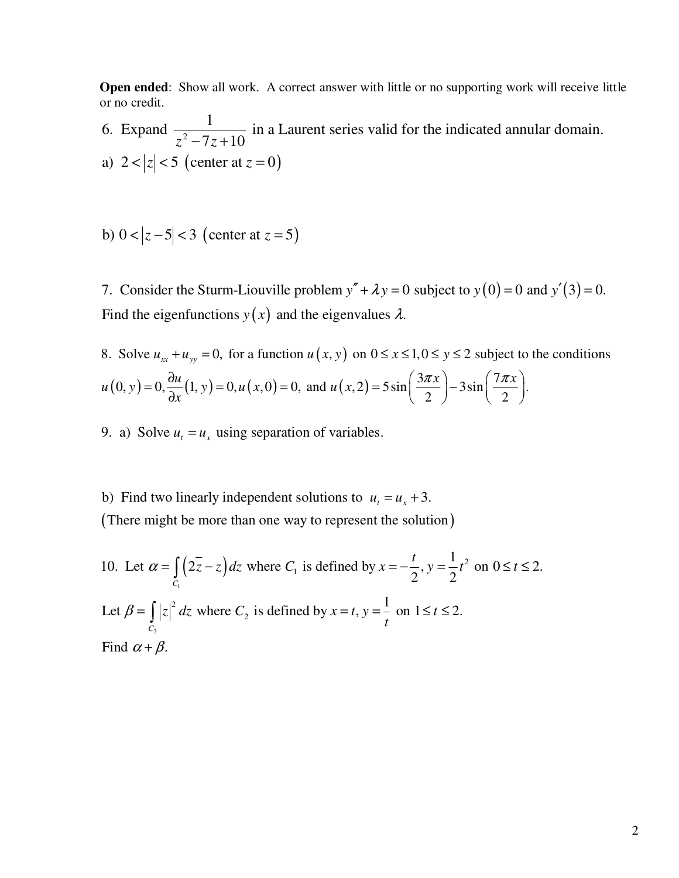**Open ended**: Show all work. A correct answer with little or no supporting work will receive little or no credit.

a)  $2 < |z| < 5$  (center at  $z = 0$ ) 2 1 6. Expand  $\frac{1}{2}$   $\frac{1}{2}$  in a Laurent series valid for the indicated annular domain.  $z^2 - 7z + 10$ 

b) 
$$
0 < |z - 5| < 3
$$
 (center at  $z = 5$ )

7. Consider the Sturm-Liouville problem  $y'' + \lambda y = 0$  subject to  $y(0) = 0$  and  $y'(3) = 0$ . Find the eigenfunctions  $y(x)$  and the eigenvalues  $\lambda$ .

8. Solve 
$$
u_{xx} + u_{yy} = 0
$$
, for a function  $u(x, y)$  on  $0 \le x \le 1, 0 \le y \le 2$  subject to the conditions  $u(0, y) = 0, \frac{\partial u}{\partial x}(1, y) = 0, u(x, 0) = 0$ , and  $u(x, 2) = 5 \sin\left(\frac{3\pi x}{2}\right) - 3\sin\left(\frac{7\pi x}{2}\right)$ .

- 9. a) Solve  $u_t = u_x$  using separation of variables.
- (There might be more than one way to represent the solution) b) Find two linearly independent solutions to  $u_t = u_x + 3$ .

10. Let 
$$
\alpha = \int_{C_1} (2\overline{z} - z) dz
$$
 where  $C_1$  is defined by  $x = -\frac{t}{2}$ ,  $y = \frac{1}{2}t^2$  on  $0 \le t \le 2$ .  
\nLet  $\beta = \int_{C_2} |z|^2 dz$  where  $C_2$  is defined by  $x = t$ ,  $y = \frac{1}{t}$  on  $1 \le t \le 2$ .  
\nFind  $\alpha + \beta$ .